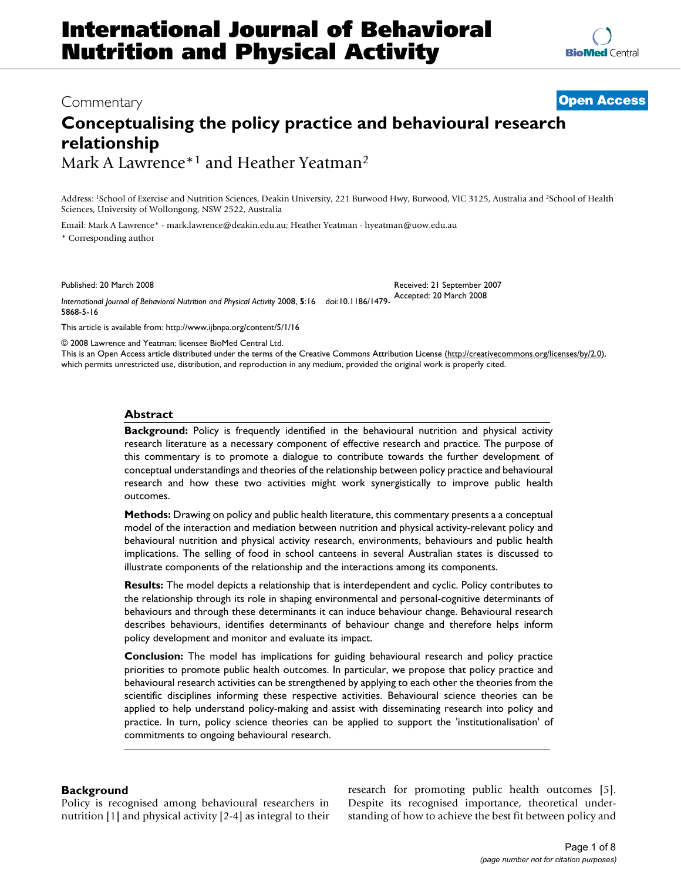# **[BioMed](http://www.biomedcentral.com/)** Central

# **Conceptualising the policy practice and behavioural research relationship** Mark A Lawrence\*1 and Heather Yeatman2

Address: 1School of Exercise and Nutrition Sciences, Deakin University, 221 Burwood Hwy, Burwood, VIC 3125, Australia and 2School of Health Sciences, University of Wollongong, NSW 2522, Australia

Received: 21 September 2007

Email: Mark A Lawrence\* - mark.lawrence@deakin.edu.au; Heather Yeatman - hyeatman@uow.edu.au \* Corresponding author

Published: 20 March 2008

*International Journal of Behavioral Nutrition and Physical Activity* 2008, **5**:16 doi:10.1186/1479- Accepted: 20 March 2008 5868-5-16

[This article is available from: http://www.ijbnpa.org/content/5/1/16](http://www.ijbnpa.org/content/5/1/16)

© 2008 Lawrence and Yeatman; licensee BioMed Central Ltd.

This is an Open Access article distributed under the terms of the Creative Commons Attribution License [\(http://creativecommons.org/licenses/by/2.0\)](http://creativecommons.org/licenses/by/2.0), which permits unrestricted use, distribution, and reproduction in any medium, provided the original work is properly cited.

#### **Abstract**

**Background:** Policy is frequently identified in the behavioural nutrition and physical activity research literature as a necessary component of effective research and practice. The purpose of this commentary is to promote a dialogue to contribute towards the further development of conceptual understandings and theories of the relationship between policy practice and behavioural research and how these two activities might work synergistically to improve public health outcomes.

**Methods:** Drawing on policy and public health literature, this commentary presents a a conceptual model of the interaction and mediation between nutrition and physical activity-relevant policy and behavioural nutrition and physical activity research, environments, behaviours and public health implications. The selling of food in school canteens in several Australian states is discussed to illustrate components of the relationship and the interactions among its components.

**Results:** The model depicts a relationship that is interdependent and cyclic. Policy contributes to the relationship through its role in shaping environmental and personal-cognitive determinants of behaviours and through these determinants it can induce behaviour change. Behavioural research describes behaviours, identifies determinants of behaviour change and therefore helps inform policy development and monitor and evaluate its impact.

**Conclusion:** The model has implications for guiding behavioural research and policy practice priorities to promote public health outcomes. In particular, we propose that policy practice and behavioural research activities can be strengthened by applying to each other the theories from the scientific disciplines informing these respective activities. Behavioural science theories can be applied to help understand policy-making and assist with disseminating research into policy and practice. In turn, policy science theories can be applied to support the 'institutionalisation' of commitments to ongoing behavioural research.

#### **Background**

Policy is recognised among behavioural researchers in nutrition [1] and physical activity [2-4] as integral to their research for promoting public health outcomes [5]. Despite its recognised importance, theoretical understanding of how to achieve the best fit between policy and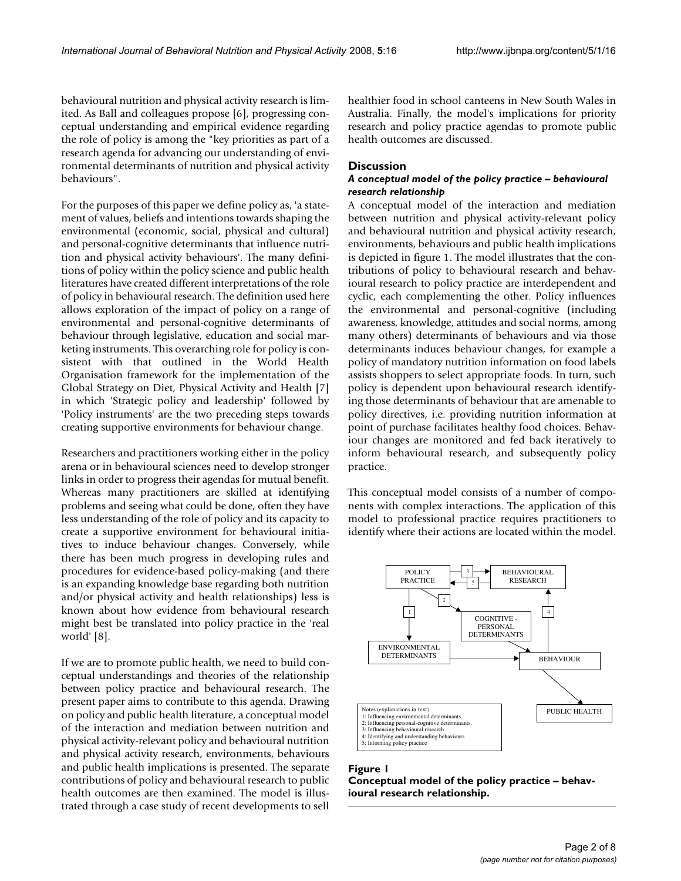behavioural nutrition and physical activity research is limited. As Ball and colleagues propose [6], progressing conceptual understanding and empirical evidence regarding the role of policy is among the "key priorities as part of a research agenda for advancing our understanding of environmental determinants of nutrition and physical activity behaviours".

For the purposes of this paper we define policy as, 'a statement of values, beliefs and intentions towards shaping the environmental (economic, social, physical and cultural) and personal-cognitive determinants that influence nutrition and physical activity behaviours'. The many definitions of policy within the policy science and public health literatures have created different interpretations of the role of policy in behavioural research. The definition used here allows exploration of the impact of policy on a range of environmental and personal-cognitive determinants of behaviour through legislative, education and social marketing instruments. This overarching role for policy is consistent with that outlined in the World Health Organisation framework for the implementation of the Global Strategy on Diet, Physical Activity and Health [7] in which 'Strategic policy and leadership' followed by 'Policy instruments' are the two preceding steps towards creating supportive environments for behaviour change.

Researchers and practitioners working either in the policy arena or in behavioural sciences need to develop stronger links in order to progress their agendas for mutual benefit. Whereas many practitioners are skilled at identifying problems and seeing what could be done, often they have less understanding of the role of policy and its capacity to create a supportive environment for behavioural initiatives to induce behaviour changes. Conversely, while there has been much progress in developing rules and procedures for evidence-based policy-making (and there is an expanding knowledge base regarding both nutrition and/or physical activity and health relationships) less is known about how evidence from behavioural research might best be translated into policy practice in the 'real world' [8].

If we are to promote public health, we need to build conceptual understandings and theories of the relationship between policy practice and behavioural research. The present paper aims to contribute to this agenda. Drawing on policy and public health literature, a conceptual model of the interaction and mediation between nutrition and physical activity-relevant policy and behavioural nutrition and physical activity research, environments, behaviours and public health implications is presented. The separate contributions of policy and behavioural research to public health outcomes are then examined. The model is illustrated through a case study of recent developments to sell

healthier food in school canteens in New South Wales in Australia. Finally, the model's implications for priority research and policy practice agendas to promote public health outcomes are discussed.

#### **Discussion**

#### *A conceptual model of the policy practice – behavioural research relationship*

A conceptual model of the interaction and mediation between nutrition and physical activity-relevant policy and behavioural nutrition and physical activity research, environments, behaviours and public health implications is depicted in figure 1. The model illustrates that the contributions of policy to behavioural research and behavioural research to policy practice are interdependent and cyclic, each complementing the other. Policy influences the environmental and personal-cognitive (including awareness, knowledge, attitudes and social norms, among many others) determinants of behaviours and via those determinants induces behaviour changes, for example a policy of mandatory nutrition information on food labels assists shoppers to select appropriate foods. In turn, such policy is dependent upon behavioural research identifying those determinants of behaviour that are amenable to policy directives, i.e. providing nutrition information at point of purchase facilitates healthy food choices. Behaviour changes are monitored and fed back iteratively to inform behavioural research, and subsequently policy practice.

This conceptual model consists of a number of components with complex interactions. The application of this model to professional practice requires practitioners to identify where their actions are located within the model.



#### Figure 1 **Conceptual model of the policy practice – behavioural research relationship.**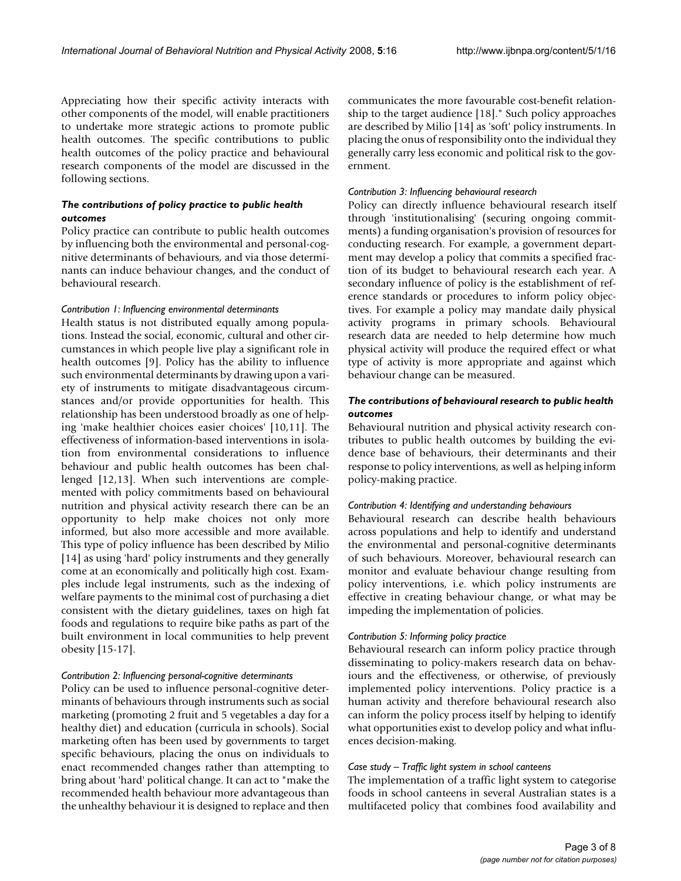Appreciating how their specific activity interacts with other components of the model, will enable practitioners to undertake more strategic actions to promote public health outcomes. The specific contributions to public health outcomes of the policy practice and behavioural research components of the model are discussed in the following sections.

# *The contributions of policy practice to public health outcomes*

Policy practice can contribute to public health outcomes by influencing both the environmental and personal-cognitive determinants of behaviours, and via those determinants can induce behaviour changes, and the conduct of behavioural research.

## *Contribution 1: Influencing environmental determinants*

Health status is not distributed equally among populations. Instead the social, economic, cultural and other circumstances in which people live play a significant role in health outcomes [9]. Policy has the ability to influence such environmental determinants by drawing upon a variety of instruments to mitigate disadvantageous circumstances and/or provide opportunities for health. This relationship has been understood broadly as one of helping 'make healthier choices easier choices' [10,11]. The effectiveness of information-based interventions in isolation from environmental considerations to influence behaviour and public health outcomes has been challenged [12,13]. When such interventions are complemented with policy commitments based on behavioural nutrition and physical activity research there can be an opportunity to help make choices not only more informed, but also more accessible and more available. This type of policy influence has been described by Milio [14] as using 'hard' policy instruments and they generally come at an economically and politically high cost. Examples include legal instruments, such as the indexing of welfare payments to the minimal cost of purchasing a diet consistent with the dietary guidelines, taxes on high fat foods and regulations to require bike paths as part of the built environment in local communities to help prevent obesity [15-17].

# *Contribution 2: Influencing personal-cognitive determinants*

Policy can be used to influence personal-cognitive determinants of behaviours through instruments such as social marketing (promoting 2 fruit and 5 vegetables a day for a healthy diet) and education (curricula in schools). Social marketing often has been used by governments to target specific behaviours, placing the onus on individuals to enact recommended changes rather than attempting to bring about 'hard' political change. It can act to "make the recommended health behaviour more advantageous than the unhealthy behaviour it is designed to replace and then communicates the more favourable cost-benefit relationship to the target audience [18]." Such policy approaches are described by Milio [14] as 'soft' policy instruments. In placing the onus of responsibility onto the individual they generally carry less economic and political risk to the government.

### *Contribution 3: Influencing behavioural research*

Policy can directly influence behavioural research itself through 'institutionalising' (securing ongoing commitments) a funding organisation's provision of resources for conducting research. For example, a government department may develop a policy that commits a specified fraction of its budget to behavioural research each year. A secondary influence of policy is the establishment of reference standards or procedures to inform policy objectives. For example a policy may mandate daily physical activity programs in primary schools. Behavioural research data are needed to help determine how much physical activity will produce the required effect or what type of activity is more appropriate and against which behaviour change can be measured.

# *The contributions of behavioural research to public health outcomes*

Behavioural nutrition and physical activity research contributes to public health outcomes by building the evidence base of behaviours, their determinants and their response to policy interventions, as well as helping inform policy-making practice.

#### *Contribution 4: Identifying and understanding behaviours*

Behavioural research can describe health behaviours across populations and help to identify and understand the environmental and personal-cognitive determinants of such behaviours. Moreover, behavioural research can monitor and evaluate behaviour change resulting from policy interventions, i.e. which policy instruments are effective in creating behaviour change, or what may be impeding the implementation of policies.

# *Contribution 5: Informing policy practice*

Behavioural research can inform policy practice through disseminating to policy-makers research data on behaviours and the effectiveness, or otherwise, of previously implemented policy interventions. Policy practice is a human activity and therefore behavioural research also can inform the policy process itself by helping to identify what opportunities exist to develop policy and what influences decision-making.

# *Case study – Traffic light system in school canteens*

The implementation of a traffic light system to categorise foods in school canteens in several Australian states is a multifaceted policy that combines food availability and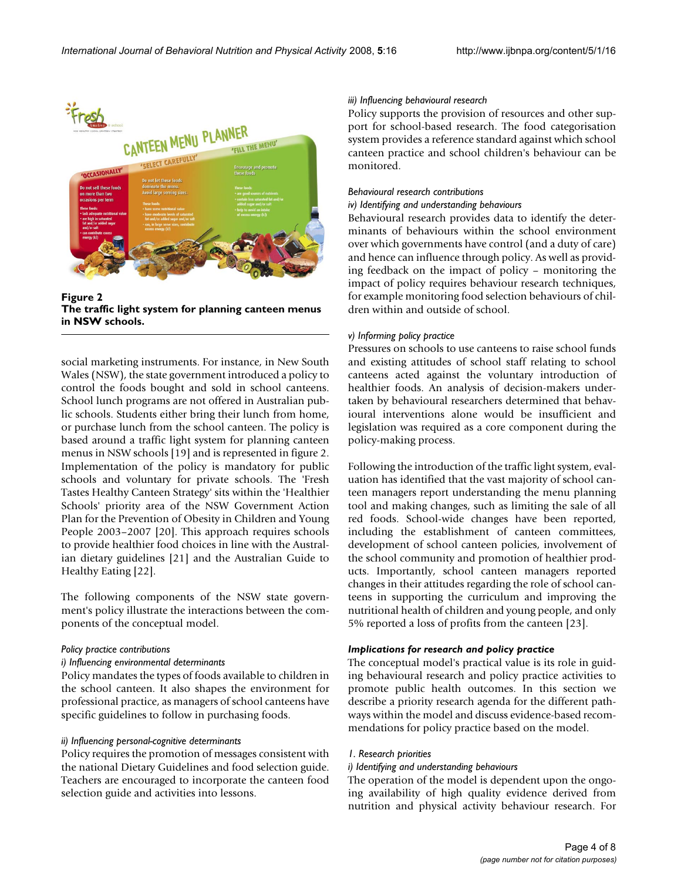

**Figure 2 The traffic light system for planning canteen menus in NSW schools.**

social marketing instruments. For instance, in New South Wales (NSW), the state government introduced a policy to control the foods bought and sold in school canteens. School lunch programs are not offered in Australian public schools. Students either bring their lunch from home, or purchase lunch from the school canteen. The policy is based around a traffic light system for planning canteen menus in NSW schools [19] and is represented in figure 2. Implementation of the policy is mandatory for public schools and voluntary for private schools. The 'Fresh Tastes Healthy Canteen Strategy' sits within the 'Healthier Schools' priority area of the NSW Government Action Plan for the Prevention of Obesity in Children and Young People 2003–2007 [20]. This approach requires schools to provide healthier food choices in line with the Australian dietary guidelines [21] and the Australian Guide to Healthy Eating [22].

The following components of the NSW state government's policy illustrate the interactions between the components of the conceptual model.

#### *Policy practice contributions*

#### *i) Influencing environmental determinants*

Policy mandates the types of foods available to children in the school canteen. It also shapes the environment for professional practice, as managers of school canteens have specific guidelines to follow in purchasing foods.

#### *ii) Influencing personal-cognitive determinants*

Policy requires the promotion of messages consistent with the national Dietary Guidelines and food selection guide. Teachers are encouraged to incorporate the canteen food selection guide and activities into lessons.

#### *iii) Influencing behavioural research*

Policy supports the provision of resources and other support for school-based research. The food categorisation system provides a reference standard against which school canteen practice and school children's behaviour can be monitored.

#### *Behavioural research contributions*

#### *iv) Identifying and understanding behaviours*

Behavioural research provides data to identify the determinants of behaviours within the school environment over which governments have control (and a duty of care) and hence can influence through policy. As well as providing feedback on the impact of policy – monitoring the impact of policy requires behaviour research techniques, for example monitoring food selection behaviours of children within and outside of school.

#### *v) Informing policy practice*

Pressures on schools to use canteens to raise school funds and existing attitudes of school staff relating to school canteens acted against the voluntary introduction of healthier foods. An analysis of decision-makers undertaken by behavioural researchers determined that behavioural interventions alone would be insufficient and legislation was required as a core component during the policy-making process.

Following the introduction of the traffic light system, evaluation has identified that the vast majority of school canteen managers report understanding the menu planning tool and making changes, such as limiting the sale of all red foods. School-wide changes have been reported, including the establishment of canteen committees, development of school canteen policies, involvement of the school community and promotion of healthier products. Importantly, school canteen managers reported changes in their attitudes regarding the role of school canteens in supporting the curriculum and improving the nutritional health of children and young people, and only 5% reported a loss of profits from the canteen [23].

#### *Implications for research and policy practice*

The conceptual model's practical value is its role in guiding behavioural research and policy practice activities to promote public health outcomes. In this section we describe a priority research agenda for the different pathways within the model and discuss evidence-based recommendations for policy practice based on the model.

#### *1. Research priorities*

#### *i) Identifying and understanding behaviours*

The operation of the model is dependent upon the ongoing availability of high quality evidence derived from nutrition and physical activity behaviour research. For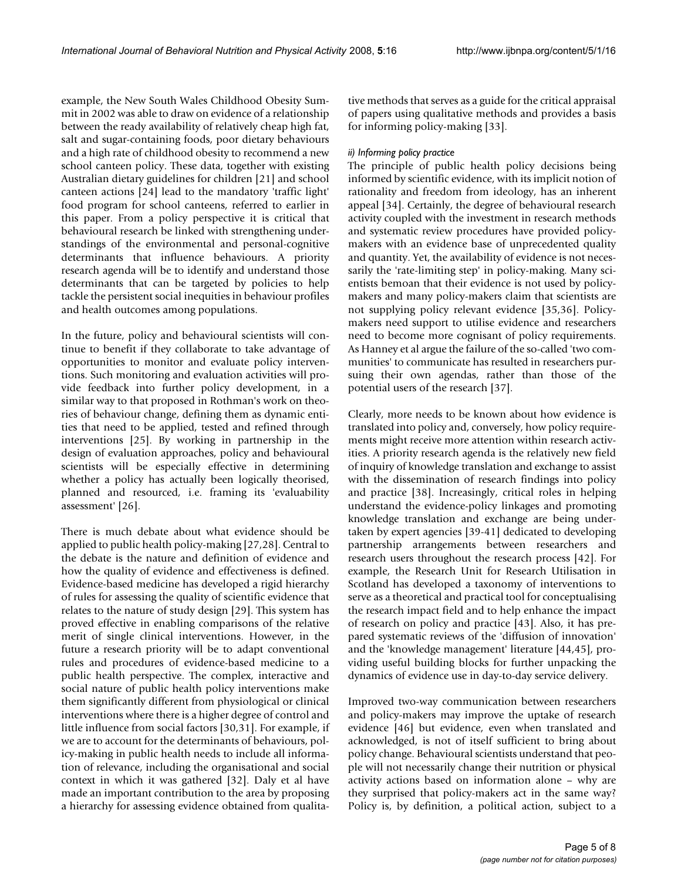example, the New South Wales Childhood Obesity Summit in 2002 was able to draw on evidence of a relationship between the ready availability of relatively cheap high fat, salt and sugar-containing foods, poor dietary behaviours and a high rate of childhood obesity to recommend a new school canteen policy. These data, together with existing Australian dietary guidelines for children [21] and school canteen actions [24] lead to the mandatory 'traffic light' food program for school canteens, referred to earlier in this paper. From a policy perspective it is critical that behavioural research be linked with strengthening understandings of the environmental and personal-cognitive determinants that influence behaviours. A priority research agenda will be to identify and understand those determinants that can be targeted by policies to help tackle the persistent social inequities in behaviour profiles and health outcomes among populations.

In the future, policy and behavioural scientists will continue to benefit if they collaborate to take advantage of opportunities to monitor and evaluate policy interventions. Such monitoring and evaluation activities will provide feedback into further policy development, in a similar way to that proposed in Rothman's work on theories of behaviour change, defining them as dynamic entities that need to be applied, tested and refined through interventions [25]. By working in partnership in the design of evaluation approaches, policy and behavioural scientists will be especially effective in determining whether a policy has actually been logically theorised, planned and resourced, i.e. framing its 'evaluability assessment' [26].

There is much debate about what evidence should be applied to public health policy-making [27,28]. Central to the debate is the nature and definition of evidence and how the quality of evidence and effectiveness is defined. Evidence-based medicine has developed a rigid hierarchy of rules for assessing the quality of scientific evidence that relates to the nature of study design [29]. This system has proved effective in enabling comparisons of the relative merit of single clinical interventions. However, in the future a research priority will be to adapt conventional rules and procedures of evidence-based medicine to a public health perspective. The complex, interactive and social nature of public health policy interventions make them significantly different from physiological or clinical interventions where there is a higher degree of control and little influence from social factors [30,31]. For example, if we are to account for the determinants of behaviours, policy-making in public health needs to include all information of relevance, including the organisational and social context in which it was gathered [32]. Daly et al have made an important contribution to the area by proposing a hierarchy for assessing evidence obtained from qualitative methods that serves as a guide for the critical appraisal of papers using qualitative methods and provides a basis for informing policy-making [33].

# *ii) Informing policy practice*

The principle of public health policy decisions being informed by scientific evidence, with its implicit notion of rationality and freedom from ideology, has an inherent appeal [34]. Certainly, the degree of behavioural research activity coupled with the investment in research methods and systematic review procedures have provided policymakers with an evidence base of unprecedented quality and quantity. Yet, the availability of evidence is not necessarily the 'rate-limiting step' in policy-making. Many scientists bemoan that their evidence is not used by policymakers and many policy-makers claim that scientists are not supplying policy relevant evidence [35,36]. Policymakers need support to utilise evidence and researchers need to become more cognisant of policy requirements. As Hanney et al argue the failure of the so-called 'two communities' to communicate has resulted in researchers pursuing their own agendas, rather than those of the potential users of the research [37].

Clearly, more needs to be known about how evidence is translated into policy and, conversely, how policy requirements might receive more attention within research activities. A priority research agenda is the relatively new field of inquiry of knowledge translation and exchange to assist with the dissemination of research findings into policy and practice [38]. Increasingly, critical roles in helping understand the evidence-policy linkages and promoting knowledge translation and exchange are being undertaken by expert agencies [39-41] dedicated to developing partnership arrangements between researchers and research users throughout the research process [42]. For example, the Research Unit for Research Utilisation in Scotland has developed a taxonomy of interventions to serve as a theoretical and practical tool for conceptualising the research impact field and to help enhance the impact of research on policy and practice [43]. Also, it has prepared systematic reviews of the 'diffusion of innovation' and the 'knowledge management' literature [44,45], providing useful building blocks for further unpacking the dynamics of evidence use in day-to-day service delivery.

Improved two-way communication between researchers and policy-makers may improve the uptake of research evidence [46] but evidence, even when translated and acknowledged, is not of itself sufficient to bring about policy change. Behavioural scientists understand that people will not necessarily change their nutrition or physical activity actions based on information alone – why are they surprised that policy-makers act in the same way? Policy is, by definition, a political action, subject to a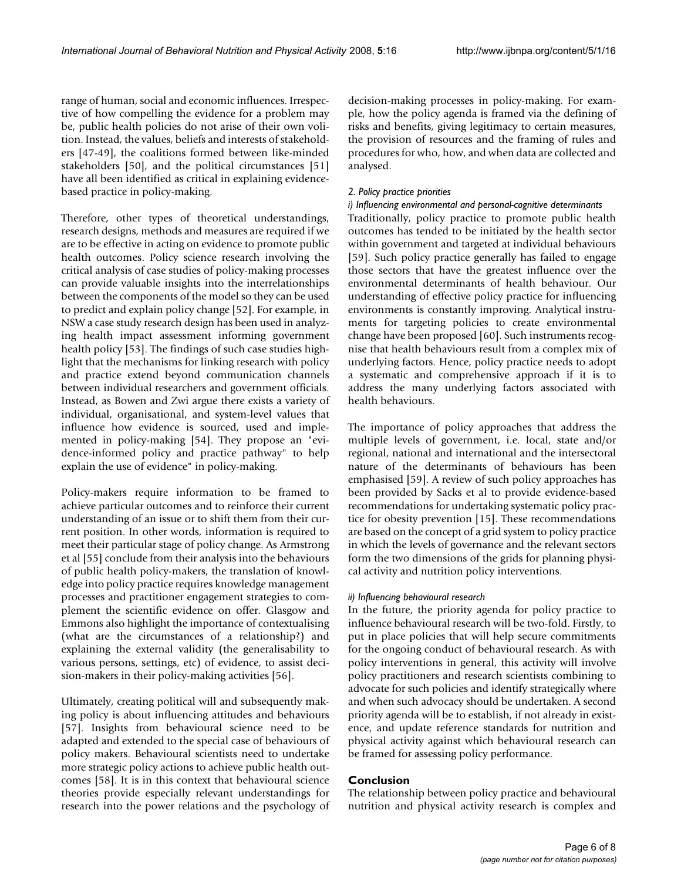range of human, social and economic influences. Irrespective of how compelling the evidence for a problem may be, public health policies do not arise of their own volition. Instead, the values, beliefs and interests of stakeholders [47-49], the coalitions formed between like-minded stakeholders [50], and the political circumstances [51] have all been identified as critical in explaining evidencebased practice in policy-making.

Therefore, other types of theoretical understandings, research designs, methods and measures are required if we are to be effective in acting on evidence to promote public health outcomes. Policy science research involving the critical analysis of case studies of policy-making processes can provide valuable insights into the interrelationships between the components of the model so they can be used to predict and explain policy change [52]. For example, in NSW a case study research design has been used in analyzing health impact assessment informing government health policy [53]. The findings of such case studies highlight that the mechanisms for linking research with policy and practice extend beyond communication channels between individual researchers and government officials. Instead, as Bowen and Zwi argue there exists a variety of individual, organisational, and system-level values that influence how evidence is sourced, used and implemented in policy-making [54]. They propose an "evidence-informed policy and practice pathway" to help explain the use of evidence" in policy-making.

Policy-makers require information to be framed to achieve particular outcomes and to reinforce their current understanding of an issue or to shift them from their current position. In other words, information is required to meet their particular stage of policy change. As Armstrong et al [55] conclude from their analysis into the behaviours of public health policy-makers, the translation of knowledge into policy practice requires knowledge management processes and practitioner engagement strategies to complement the scientific evidence on offer. Glasgow and Emmons also highlight the importance of contextualising (what are the circumstances of a relationship?) and explaining the external validity (the generalisability to various persons, settings, etc) of evidence, to assist decision-makers in their policy-making activities [56].

Ultimately, creating political will and subsequently making policy is about influencing attitudes and behaviours [57]. Insights from behavioural science need to be adapted and extended to the special case of behaviours of policy makers. Behavioural scientists need to undertake more strategic policy actions to achieve public health outcomes [58]. It is in this context that behavioural science theories provide especially relevant understandings for research into the power relations and the psychology of decision-making processes in policy-making. For example, how the policy agenda is framed via the defining of risks and benefits, giving legitimacy to certain measures, the provision of resources and the framing of rules and procedures for who, how, and when data are collected and analysed.

# *2. Policy practice priorities*

*i) Influencing environmental and personal-cognitive determinants* Traditionally, policy practice to promote public health outcomes has tended to be initiated by the health sector within government and targeted at individual behaviours [59]. Such policy practice generally has failed to engage those sectors that have the greatest influence over the environmental determinants of health behaviour. Our understanding of effective policy practice for influencing environments is constantly improving. Analytical instruments for targeting policies to create environmental change have been proposed [60]. Such instruments recognise that health behaviours result from a complex mix of underlying factors. Hence, policy practice needs to adopt a systematic and comprehensive approach if it is to address the many underlying factors associated with health behaviours.

The importance of policy approaches that address the multiple levels of government, i.e. local, state and/or regional, national and international and the intersectoral nature of the determinants of behaviours has been emphasised [59]. A review of such policy approaches has been provided by Sacks et al to provide evidence-based recommendations for undertaking systematic policy practice for obesity prevention [15]. These recommendations are based on the concept of a grid system to policy practice in which the levels of governance and the relevant sectors form the two dimensions of the grids for planning physical activity and nutrition policy interventions.

#### *ii) Influencing behavioural research*

In the future, the priority agenda for policy practice to influence behavioural research will be two-fold. Firstly, to put in place policies that will help secure commitments for the ongoing conduct of behavioural research. As with policy interventions in general, this activity will involve policy practitioners and research scientists combining to advocate for such policies and identify strategically where and when such advocacy should be undertaken. A second priority agenda will be to establish, if not already in existence, and update reference standards for nutrition and physical activity against which behavioural research can be framed for assessing policy performance.

# **Conclusion**

The relationship between policy practice and behavioural nutrition and physical activity research is complex and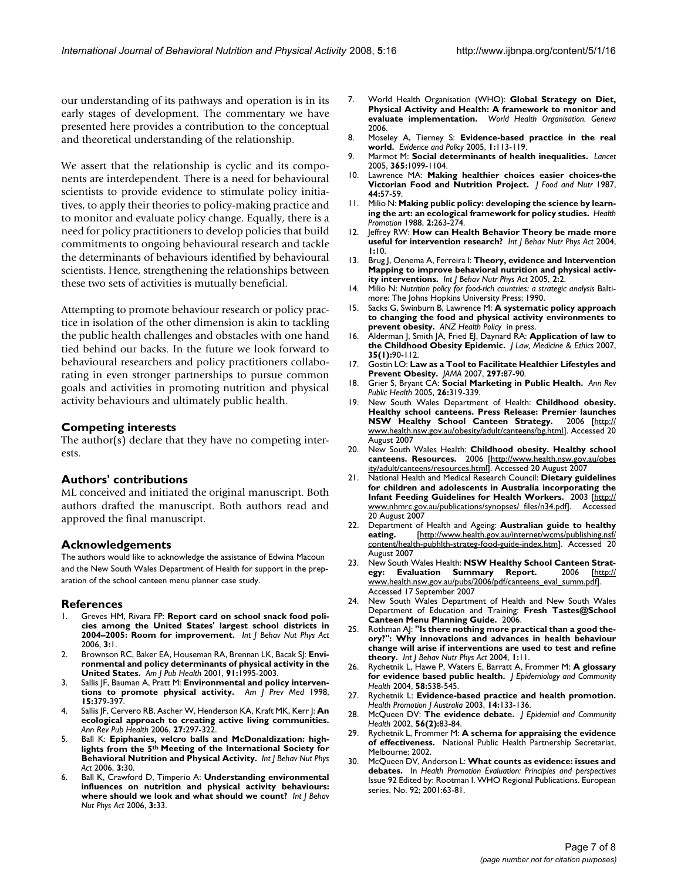our understanding of its pathways and operation is in its early stages of development. The commentary we have presented here provides a contribution to the conceptual and theoretical understanding of the relationship.

We assert that the relationship is cyclic and its components are interdependent. There is a need for behavioural scientists to provide evidence to stimulate policy initiatives, to apply their theories to policy-making practice and to monitor and evaluate policy change. Equally, there is a need for policy practitioners to develop policies that build commitments to ongoing behavioural research and tackle the determinants of behaviours identified by behavioural scientists. Hence, strengthening the relationships between these two sets of activities is mutually beneficial.

Attempting to promote behaviour research or policy practice in isolation of the other dimension is akin to tackling the public health challenges and obstacles with one hand tied behind our backs. In the future we look forward to behavioural researchers and policy practitioners collaborating in even stronger partnerships to pursue common goals and activities in promoting nutrition and physical activity behaviours and ultimately public health.

#### **Competing interests**

The author(s) declare that they have no competing interests.

#### **Authors' contributions**

ML conceived and initiated the original manuscript. Both authors drafted the manuscript. Both authors read and approved the final manuscript.

#### **Acknowledgements**

The authors would like to acknowledge the assistance of Edwina Macoun and the New South Wales Department of Health for support in the preparation of the school canteen menu planner case study.

#### **References**

- 1. Greves HM, Rivara FP: **[Report card on school snack food poli](http://www.ncbi.nlm.nih.gov/entrez/query.fcgi?cmd=Retrieve&db=PubMed&dopt=Abstract&list_uids=16390544)[cies among the United States' largest school districts in](http://www.ncbi.nlm.nih.gov/entrez/query.fcgi?cmd=Retrieve&db=PubMed&dopt=Abstract&list_uids=16390544) [2004–2005: Room for improvement.](http://www.ncbi.nlm.nih.gov/entrez/query.fcgi?cmd=Retrieve&db=PubMed&dopt=Abstract&list_uids=16390544)** *Int J Behav Nut Phys Act* 2006, **3:**1.
- 2. Brownson RC, Baker EA, Houseman RA, Brennan LK, Bacak SJ: **[Envi](http://www.ncbi.nlm.nih.gov/entrez/query.fcgi?cmd=Retrieve&db=PubMed&dopt=Abstract&list_uids=11726382)[ronmental and policy determinants of physical activity in the](http://www.ncbi.nlm.nih.gov/entrez/query.fcgi?cmd=Retrieve&db=PubMed&dopt=Abstract&list_uids=11726382) [United States.](http://www.ncbi.nlm.nih.gov/entrez/query.fcgi?cmd=Retrieve&db=PubMed&dopt=Abstract&list_uids=11726382)** *Am J Pub Health* 2001, **91:**1995-2003.
- 3. Sallis JF, Bauman A, Pratt M: **[Environmental and policy interven](http://www.ncbi.nlm.nih.gov/entrez/query.fcgi?cmd=Retrieve&db=PubMed&dopt=Abstract&list_uids=9838979)[tions to promote physical activity.](http://www.ncbi.nlm.nih.gov/entrez/query.fcgi?cmd=Retrieve&db=PubMed&dopt=Abstract&list_uids=9838979)** *Am J Prev Med* 1998, **15:**379-397.
- 4. Sallis JF, Cervero RB, Ascher W, Henderson KA, Kraft MK, Kerr J: **[An](http://www.ncbi.nlm.nih.gov/entrez/query.fcgi?cmd=Retrieve&db=PubMed&dopt=Abstract&list_uids=16533119) [ecological approach to creating active living communities.](http://www.ncbi.nlm.nih.gov/entrez/query.fcgi?cmd=Retrieve&db=PubMed&dopt=Abstract&list_uids=16533119)** *Ann Rev Pub Health* 2006, **27:**297-322.
- 5. Ball K: **Epiphanies, velcro balls and McDonaldization: highlights from the 5th [Meeting of the International Society for](http://www.ncbi.nlm.nih.gov/entrez/query.fcgi?cmd=Retrieve&db=PubMed&dopt=Abstract&list_uids=16987427) [Behavioral Nutrition and Physical Activity.](http://www.ncbi.nlm.nih.gov/entrez/query.fcgi?cmd=Retrieve&db=PubMed&dopt=Abstract&list_uids=16987427)** *Int J Behav Nut Phys Act* 2006, **3:**30.
- 6. Ball K, Crawford D, Timperio A: **[Understanding environmental](http://www.ncbi.nlm.nih.gov/entrez/query.fcgi?cmd=Retrieve&db=PubMed&dopt=Abstract&list_uids=16999874) [influences on nutrition and physical activity behaviours:](http://www.ncbi.nlm.nih.gov/entrez/query.fcgi?cmd=Retrieve&db=PubMed&dopt=Abstract&list_uids=16999874) [where should we look and what should we count?](http://www.ncbi.nlm.nih.gov/entrez/query.fcgi?cmd=Retrieve&db=PubMed&dopt=Abstract&list_uids=16999874)** *Int J Behav Nut Phys Act* 2006, **3:**33.
- 7. World Health Organisation (WHO): **Global Strategy on Diet, Physical Activity and Health: A framework to monitor and evaluate implementation.** *World Health Organisation. Geneva* 2006.
- 8. Moseley A, Tierney S: **Evidence-based practice in the real world.** *Evidence and Policy* 2005, **1:**113-119.
- 9. Marmot M: **[Social determinants of health inequalities.](http://www.ncbi.nlm.nih.gov/entrez/query.fcgi?cmd=Retrieve&db=PubMed&dopt=Abstract&list_uids=15781105)** *Lancet* 2005, **365:**1099-1104.
- 10. Lawrence MA: **Making healthier choices easier choices-the Victorian Food and Nutrition Project.** *J Food and Nutr* 1987, **44:**57-59.
- 11. Milio N: **Making public policy: developing the science by learning the art: an ecological framework for policy studies.** *Health Promotion* 1988, **2:**263-274.
- 12. Jeffrey RW: **[How can Health Behavior Theory be made more](http://www.ncbi.nlm.nih.gov/entrez/query.fcgi?cmd=Retrieve&db=PubMed&dopt=Abstract&list_uids=15272938) [useful for intervention research?](http://www.ncbi.nlm.nih.gov/entrez/query.fcgi?cmd=Retrieve&db=PubMed&dopt=Abstract&list_uids=15272938)** *Int J Behav Nutr Phys Act* 2004, **1:**10.
- 13. Brug J, Oenema A, Ferreira I: **[Theory, evidence and Intervention](http://www.ncbi.nlm.nih.gov/entrez/query.fcgi?cmd=Retrieve&db=PubMed&dopt=Abstract&list_uids=15807898) [Mapping to improve behavioral nutrition and physical activ](http://www.ncbi.nlm.nih.gov/entrez/query.fcgi?cmd=Retrieve&db=PubMed&dopt=Abstract&list_uids=15807898)[ity interventions.](http://www.ncbi.nlm.nih.gov/entrez/query.fcgi?cmd=Retrieve&db=PubMed&dopt=Abstract&list_uids=15807898)** *Int J Behav Nutr Phys Act* 2005, **2:**2.
- 14. Milio N: *Nutrition policy for food-rich countries: a strategic analysis* Baltimore: The Johns Hopkins University Press; 1990.
- 15. Sacks G, Swinburn B, Lawrence M: **A systematic policy approach to changing the food and physical activity environments to prevent obesity.** *ANZ Health Policy* in press.
- 16. Alderman J, Smith JA, Fried EJ, Daynard RA: **[Application of law to](http://www.ncbi.nlm.nih.gov/entrez/query.fcgi?cmd=Retrieve&db=PubMed&dopt=Abstract&list_uids=17341219) [the Childhood Obesity Epidemic.](http://www.ncbi.nlm.nih.gov/entrez/query.fcgi?cmd=Retrieve&db=PubMed&dopt=Abstract&list_uids=17341219)** *J Law, Medicine & Ethics* 2007, **35(1):**90-112.
- 17. Gostin LO: **[Law as a Tool to Facilitate Healthier Lifestyles and](http://www.ncbi.nlm.nih.gov/entrez/query.fcgi?cmd=Retrieve&db=PubMed&dopt=Abstract&list_uids=17200479) [Prevent Obesity.](http://www.ncbi.nlm.nih.gov/entrez/query.fcgi?cmd=Retrieve&db=PubMed&dopt=Abstract&list_uids=17200479)** *JAMA* 2007, **297:**87-90.
- 18. Grier S, Bryant CA: **[Social Marketing in Public Health.](http://www.ncbi.nlm.nih.gov/entrez/query.fcgi?cmd=Retrieve&db=PubMed&dopt=Abstract&list_uids=15760292)** *Ann Rev Public Health* 2005, **26:**319-339.
- 19. New South Wales Department of Health: **Childhood obesity. Healthy school canteens. Press Release: Premier launches NSW Healthy School Canteen Strategy.** [www.health.nsw.gov.au/obesity/adult/canteens/bg.html\]](http://www.health.nsw.gov.au/obesity/adult/canteens/bg.html). Accessed 20 August 2007
- 20. New South Wales Health: **Childhood obesity. Healthy school canteens. Resources.** 2006 [\[http://www.health.nsw.gov.au/obes](http://www.health.nsw.gov.au/obesity/adult/canteens/resources.html) [ity/adult/canteens/resources.html](http://www.health.nsw.gov.au/obesity/adult/canteens/resources.html)]. Accessed 20 August 2007
- 21. National Health and Medical Research Council: **Dietary guidelines for children and adolescents in Australia incorporating the Infant Feeding Guidelines for Health Workers.** 2003 [\[http://](http://www.nhmrc.gov.au/publications/synopses/_files/n34.pdf) [www.nhmrc.gov.au/publications/synopses/\\_files/n34.pdf\]](http://www.nhmrc.gov.au/publications/synopses/_files/n34.pdf). Accessed 20 August 2007
- 22. Department of Health and Ageing: **Australian guide to healthy eating.** [[http://www.health.gov.au/internet/wcms/publishing.nsf/](http://www.health.gov.au/internet/wcms/publishing.nsf/content/health-pubhlth-strateg-food-guide-index.htm) [content/health-pubhlth-strateg-food-guide-index.htm\]](http://www.health.gov.au/internet/wcms/publishing.nsf/content/health-pubhlth-strateg-food-guide-index.htm). Accessed 20 August 2007
- 23. New South Wales Health: **NSW Healthy School Canteen Strat-**<br>egy: Evaluation Summary Report. 2006 [http:// **egy: Evaluation Summary Report.** 2006 [\[http://](http://www.health.nsw.gov.au/pubs/2006/pdf/canteens_eval_summ.pdf) [www.health.nsw.gov.au/pubs/2006/pdf/canteens\\_eval\\_summ.pdf\]](http://www.health.nsw.gov.au/pubs/2006/pdf/canteens_eval_summ.pdf). Accessed 17 September 2007
- 24. New South Wales Department of Health and New South Wales Department of Education and Training: **Fresh Tastes@School Canteen Menu Planning Guide.** 2006.
- 25. Rothman AJ: **["Is there nothing more practical than a good the](http://www.ncbi.nlm.nih.gov/entrez/query.fcgi?cmd=Retrieve&db=PubMed&dopt=Abstract&list_uids=15279674)ory?": Why innovations and advances in health behaviour [change will arise if interventions are used to test and refine](http://www.ncbi.nlm.nih.gov/entrez/query.fcgi?cmd=Retrieve&db=PubMed&dopt=Abstract&list_uids=15279674) [theory.](http://www.ncbi.nlm.nih.gov/entrez/query.fcgi?cmd=Retrieve&db=PubMed&dopt=Abstract&list_uids=15279674)** *Int J Behav Nutr Phys Act* 2004, **1:**11.
- 26. Rychetnik L, Hawe P, Waters E, Barratt A, Frommer M: **A glossary for evidence based public health.** *J Epidemiology and Community Health* 2004, **58:**538-545.
- 27. Rychetnik L: **Evidence-based practice and health promotion.** *Health Promotion J Australia* 2003, **14:**133-136.
- 28. McQueen DV: **[The evidence debate.](http://www.ncbi.nlm.nih.gov/entrez/query.fcgi?cmd=Retrieve&db=PubMed&dopt=Abstract&list_uids=11812803)** *J Epidemiol and Community Health* 2002, **56(2):**83-84.
- 29. Rychetnik L, Frommer M: **A schema for appraising the evidence of effectiveness.** National Public Health Partnership Secretariat, Melbourne; 2002.
- 30. McQueen DV, Anderson L: **[What counts as evidence: issues and](http://www.ncbi.nlm.nih.gov/entrez/query.fcgi?cmd=Retrieve&db=PubMed&dopt=Abstract&list_uids=11729788) [debates.](http://www.ncbi.nlm.nih.gov/entrez/query.fcgi?cmd=Retrieve&db=PubMed&dopt=Abstract&list_uids=11729788)** In *Health Promotion Evaluation: Principles and perspectives* Issue 92 Edited by: Rootman I. WHO Regional Publications. European series, No. 92; 2001:63-81.